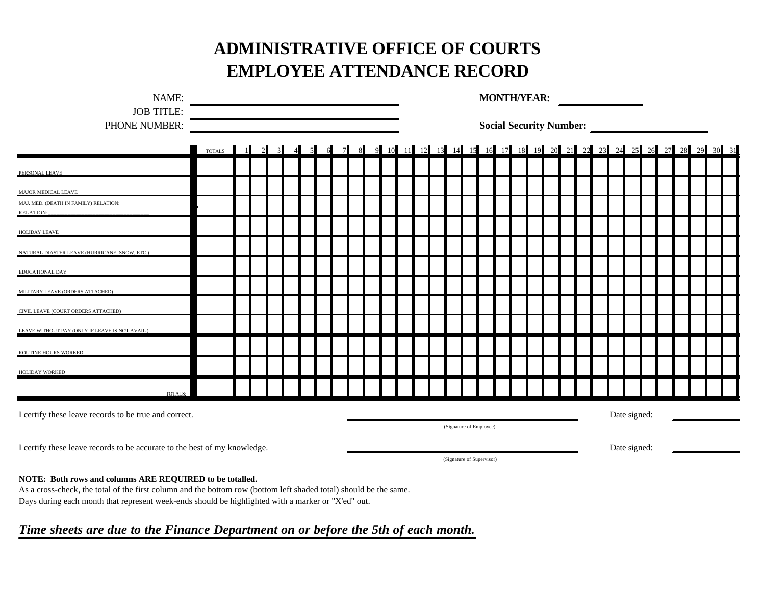## **ADMINISTRATIVE OFFICE OF COURTS EMPLOYEE ATTENDANCE RECORD**

| NAME:                                                                     |               |  |                |  |                |     |                       |   |                                           | <b>MONTH/YEAR:</b>                                                  |              |  |  |  |  |  |  |  |  |  |  |  |  |  |  |  |  |  |  |
|---------------------------------------------------------------------------|---------------|--|----------------|--|----------------|-----|-----------------------|---|-------------------------------------------|---------------------------------------------------------------------|--------------|--|--|--|--|--|--|--|--|--|--|--|--|--|--|--|--|--|--|
| <b>JOB TITLE:</b><br>PHONE NUMBER:                                        |               |  |                |  |                |     |                       |   | <b>Social Security Number:</b>            |                                                                     |              |  |  |  |  |  |  |  |  |  |  |  |  |  |  |  |  |  |  |
|                                                                           | <b>TOTALS</b> |  | $\overline{2}$ |  | $\overline{4}$ | - 5 | -6<br>$7\overline{ }$ | 8 |                                           | 9 10 11 12 13 14 15 16 17 18 19 20 21 22 23 24 25 26 27 28 29 30 31 |              |  |  |  |  |  |  |  |  |  |  |  |  |  |  |  |  |  |  |
| PERSONAL LEAVE                                                            |               |  |                |  |                |     |                       |   |                                           |                                                                     |              |  |  |  |  |  |  |  |  |  |  |  |  |  |  |  |  |  |  |
| MAJOR MEDICAL LEAVE                                                       |               |  |                |  |                |     |                       |   |                                           |                                                                     |              |  |  |  |  |  |  |  |  |  |  |  |  |  |  |  |  |  |  |
| MAJ. MED. (DEATH IN FAMILY) RELATION:<br>RELATION:                        |               |  |                |  |                |     |                       |   |                                           |                                                                     |              |  |  |  |  |  |  |  |  |  |  |  |  |  |  |  |  |  |  |
| <b>HOLIDAY LEAVE</b>                                                      |               |  |                |  |                |     |                       |   |                                           |                                                                     |              |  |  |  |  |  |  |  |  |  |  |  |  |  |  |  |  |  |  |
| NATURAL DIASTER LEAVE (HURRICANE, SNOW, ETC.)                             |               |  |                |  |                |     |                       |   |                                           |                                                                     |              |  |  |  |  |  |  |  |  |  |  |  |  |  |  |  |  |  |  |
| EDUCATIONAL DAY                                                           |               |  |                |  |                |     |                       |   |                                           |                                                                     |              |  |  |  |  |  |  |  |  |  |  |  |  |  |  |  |  |  |  |
| MILITARY LEAVE (ORDERS ATTACHED)                                          |               |  |                |  |                |     |                       |   |                                           |                                                                     |              |  |  |  |  |  |  |  |  |  |  |  |  |  |  |  |  |  |  |
| CIVIL LEAVE (COURT ORDERS ATTACHED)                                       |               |  |                |  |                |     |                       |   |                                           |                                                                     |              |  |  |  |  |  |  |  |  |  |  |  |  |  |  |  |  |  |  |
| LEAVE WITHOUT PAY (ONLY IF LEAVE IS NOT AVAIL.)                           |               |  |                |  |                |     |                       |   |                                           |                                                                     |              |  |  |  |  |  |  |  |  |  |  |  |  |  |  |  |  |  |  |
| ROUTINE HOURS WORKED                                                      |               |  |                |  |                |     |                       |   |                                           |                                                                     |              |  |  |  |  |  |  |  |  |  |  |  |  |  |  |  |  |  |  |
| <b>HOLIDAY WORKED</b>                                                     |               |  |                |  |                |     |                       |   |                                           |                                                                     |              |  |  |  |  |  |  |  |  |  |  |  |  |  |  |  |  |  |  |
| TOTALS:                                                                   |               |  |                |  |                |     |                       |   |                                           |                                                                     |              |  |  |  |  |  |  |  |  |  |  |  |  |  |  |  |  |  |  |
| I certify these leave records to be true and correct.                     |               |  |                |  |                |     |                       |   |                                           |                                                                     | Date signed: |  |  |  |  |  |  |  |  |  |  |  |  |  |  |  |  |  |  |
| I certify these leave records to be accurate to the best of my knowledge. |               |  |                |  |                |     |                       |   |                                           | (Signature of Employee)                                             |              |  |  |  |  |  |  |  |  |  |  |  |  |  |  |  |  |  |  |
|                                                                           |               |  |                |  |                |     |                       |   | Date signed:<br>(Signature of Supervisor) |                                                                     |              |  |  |  |  |  |  |  |  |  |  |  |  |  |  |  |  |  |  |

## **NOTE: Both rows and columns ARE REQUIRED to be totalled.**

As a cross-check, the total of the first column and the bottom row (bottom left shaded total) should be the same. Days during each month that represent week-ends should be highlighted with a marker or "X'ed" out.

## *Time sheets are due to the Finance Department on or before the 5th of each month.*